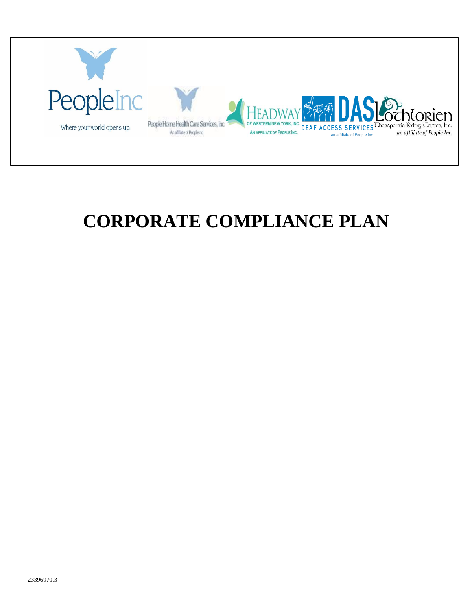

# **CORPORATE COMPLIANCE PLAN**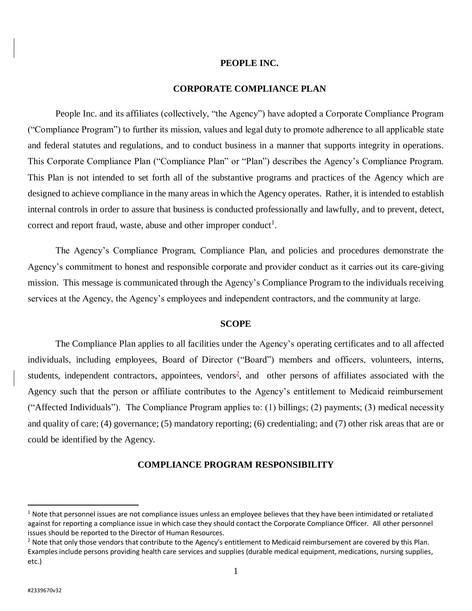#### **PEOPLE INC.**

#### **CORPORATE COMPLIANCE PLAN**

People Inc. and its affiliates (collectively, "the Agency") have adopted a Corporate Compliance Program ("Compliance Program") to further its mission, values and legal duty to promote adherence to all applicable state and federal statutes and regulations, and to conduct business in a manner that supports integrity in operations. This Corporate Compliance Plan ("Compliance Plan" or "Plan") describes the Agency's Compliance Program. This Plan is not intended to set forth all of the substantive programs and practices of the Agency which are designed to achieve compliance in the many areas in which the Agency operates. Rather, it is intended to establish internal controls in order to assure that business is conducted professionally and lawfully, and to prevent, detect, correct and report fraud, waste, abuse and other improper conduct<sup>1</sup>.

The Agency's Compliance Program, Compliance Plan, and policies and procedures demonstrate the Agency's commitment to honest and responsible corporate and provider conduct as it carries out its care-giving mission. This message is communicated through the Agency's Compliance Program to the individuals receiving services at the Agency, the Agency's employees and independent contractors, and the community at large.

#### **SCOPE**

The Compliance Plan applies to all facilities under the Agency's operating certificates and to all affected individuals, including employees, Board of Director ("Board") members and officers, volunteers, interns, students, independent contractors, appointees, vendors<sup>2</sup>, and other persons of affiliates associated with the Agency such that the person or affiliate contributes to the Agency's entitlement to Medicaid reimbursement ("Affected Individuals"). The Compliance Program applies to: (1) billings; (2) payments; (3) medical necessity and quality of care; (4) governance; (5) mandatory reporting; (6) credentialing; and (7) other risk areas that are or could be identified by the Agency.

#### **COMPLIANCE PROGRAM RESPONSIBILITY**

 $\overline{a}$ 

 $1$  Note that personnel issues are not compliance issues unless an employee believes that they have been intimidated or retaliated against for reporting a compliance issue in which case they should contact the Corporate Compliance Officer. All other personnel issues should be reported to the Director of Human Resources.

<sup>&</sup>lt;sup>2</sup> Note that only those vendors that contribute to the Agency's entitlement to Medicaid reimbursement are covered by this Plan. Examples include persons providing health care services and supplies (durable medical equipment, medications, nursing supplies, etc.)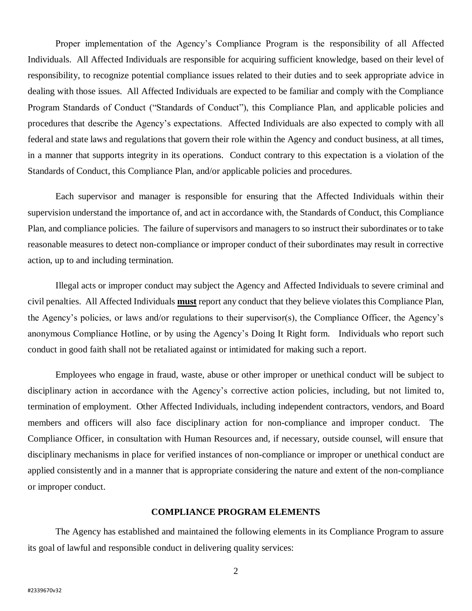Proper implementation of the Agency's Compliance Program is the responsibility of all Affected Individuals. All Affected Individuals are responsible for acquiring sufficient knowledge, based on their level of responsibility, to recognize potential compliance issues related to their duties and to seek appropriate advice in dealing with those issues. All Affected Individuals are expected to be familiar and comply with the Compliance Program Standards of Conduct ("Standards of Conduct"), this Compliance Plan, and applicable policies and procedures that describe the Agency's expectations. Affected Individuals are also expected to comply with all federal and state laws and regulations that govern their role within the Agency and conduct business, at all times, in a manner that supports integrity in its operations. Conduct contrary to this expectation is a violation of the Standards of Conduct, this Compliance Plan, and/or applicable policies and procedures.

Each supervisor and manager is responsible for ensuring that the Affected Individuals within their supervision understand the importance of, and act in accordance with, the Standards of Conduct, this Compliance Plan, and compliance policies. The failure of supervisors and managers to so instruct their subordinates or to take reasonable measures to detect non-compliance or improper conduct of their subordinates may result in corrective action, up to and including termination.

Illegal acts or improper conduct may subject the Agency and Affected Individuals to severe criminal and civil penalties. All Affected Individuals **must** report any conduct that they believe violates this Compliance Plan, the Agency's policies, or laws and/or regulations to their supervisor(s), the Compliance Officer, the Agency's anonymous Compliance Hotline, or by using the Agency's Doing It Right form. Individuals who report such conduct in good faith shall not be retaliated against or intimidated for making such a report.

Employees who engage in fraud, waste, abuse or other improper or unethical conduct will be subject to disciplinary action in accordance with the Agency's corrective action policies, including, but not limited to, termination of employment. Other Affected Individuals, including independent contractors, vendors, and Board members and officers will also face disciplinary action for non-compliance and improper conduct. The Compliance Officer, in consultation with Human Resources and, if necessary, outside counsel, will ensure that disciplinary mechanisms in place for verified instances of non-compliance or improper or unethical conduct are applied consistently and in a manner that is appropriate considering the nature and extent of the non-compliance or improper conduct.

#### **COMPLIANCE PROGRAM ELEMENTS**

The Agency has established and maintained the following elements in its Compliance Program to assure its goal of lawful and responsible conduct in delivering quality services: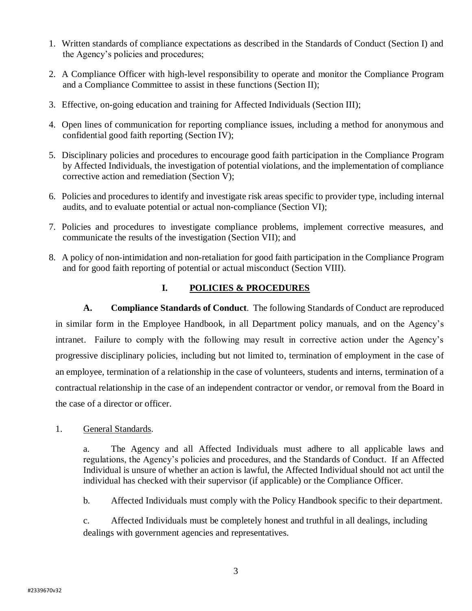- 1. Written standards of compliance expectations as described in the Standards of Conduct (Section I) and the Agency's policies and procedures;
- 2. A Compliance Officer with high-level responsibility to operate and monitor the Compliance Program and a Compliance Committee to assist in these functions (Section II);
- 3. Effective, on-going education and training for Affected Individuals (Section III);
- 4. Open lines of communication for reporting compliance issues, including a method for anonymous and confidential good faith reporting (Section IV);
- 5. Disciplinary policies and procedures to encourage good faith participation in the Compliance Program by Affected Individuals, the investigation of potential violations, and the implementation of compliance corrective action and remediation (Section V);
- 6. Policies and procedures to identify and investigate risk areas specific to provider type, including internal audits, and to evaluate potential or actual non-compliance (Section VI);
- 7. Policies and procedures to investigate compliance problems, implement corrective measures, and communicate the results of the investigation (Section VII); and
- 8. A policy of non-intimidation and non-retaliation for good faith participation in the Compliance Program and for good faith reporting of potential or actual misconduct (Section VIII).

# **I. POLICIES & PROCEDURES**

**A. Compliance Standards of Conduct**. The following Standards of Conduct are reproduced in similar form in the Employee Handbook, in all Department policy manuals, and on the Agency's intranet. Failure to comply with the following may result in corrective action under the Agency's progressive disciplinary policies, including but not limited to, termination of employment in the case of an employee, termination of a relationship in the case of volunteers, students and interns, termination of a contractual relationship in the case of an independent contractor or vendor, or removal from the Board in the case of a director or officer.

1. General Standards.

a. The Agency and all Affected Individuals must adhere to all applicable laws and regulations, the Agency's policies and procedures, and the Standards of Conduct. If an Affected Individual is unsure of whether an action is lawful, the Affected Individual should not act until the individual has checked with their supervisor (if applicable) or the Compliance Officer.

b. Affected Individuals must comply with the Policy Handbook specific to their department.

c. Affected Individuals must be completely honest and truthful in all dealings, including dealings with government agencies and representatives.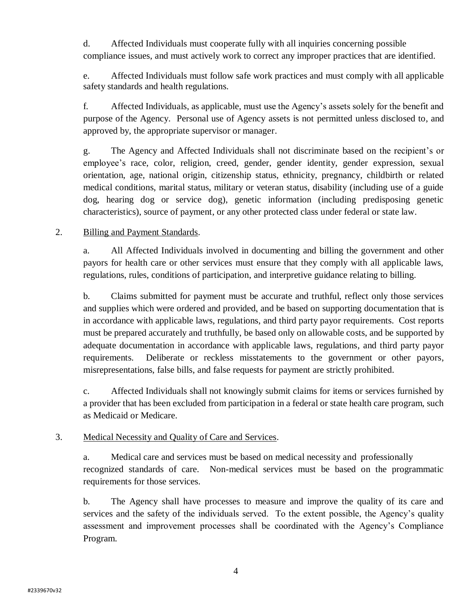d. Affected Individuals must cooperate fully with all inquiries concerning possible compliance issues, and must actively work to correct any improper practices that are identified.

e. Affected Individuals must follow safe work practices and must comply with all applicable safety standards and health regulations.

f. Affected Individuals, as applicable, must use the Agency's assets solely for the benefit and purpose of the Agency. Personal use of Agency assets is not permitted unless disclosed to, and approved by, the appropriate supervisor or manager.

g. The Agency and Affected Individuals shall not discriminate based on the recipient's or employee's race, color, religion, creed, gender, gender identity, gender expression, sexual orientation, age, national origin, citizenship status, ethnicity, pregnancy, childbirth or related medical conditions, marital status, military or veteran status, disability (including use of a guide dog, hearing dog or service dog), genetic information (including predisposing genetic characteristics), source of payment, or any other protected class under federal or state law.

## 2. Billing and Payment Standards.

a. All Affected Individuals involved in documenting and billing the government and other payors for health care or other services must ensure that they comply with all applicable laws, regulations, rules, conditions of participation, and interpretive guidance relating to billing.

b. Claims submitted for payment must be accurate and truthful, reflect only those services and supplies which were ordered and provided, and be based on supporting documentation that is in accordance with applicable laws, regulations, and third party payor requirements. Cost reports must be prepared accurately and truthfully, be based only on allowable costs, and be supported by adequate documentation in accordance with applicable laws, regulations, and third party payor requirements. Deliberate or reckless misstatements to the government or other payors, misrepresentations, false bills, and false requests for payment are strictly prohibited.

c. Affected Individuals shall not knowingly submit claims for items or services furnished by a provider that has been excluded from participation in a federal or state health care program, such as Medicaid or Medicare.

#### 3. Medical Necessity and Quality of Care and Services.

a. Medical care and services must be based on medical necessity and professionally recognized standards of care. Non-medical services must be based on the programmatic requirements for those services.

b. The Agency shall have processes to measure and improve the quality of its care and services and the safety of the individuals served. To the extent possible, the Agency's quality assessment and improvement processes shall be coordinated with the Agency's Compliance Program.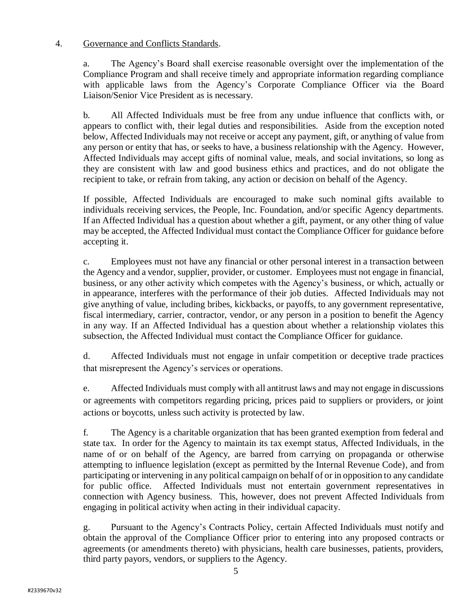## 4. Governance and Conflicts Standards.

a. The Agency's Board shall exercise reasonable oversight over the implementation of the Compliance Program and shall receive timely and appropriate information regarding compliance with applicable laws from the Agency's Corporate Compliance Officer via the Board Liaison/Senior Vice President as is necessary.

b. All Affected Individuals must be free from any undue influence that conflicts with, or appears to conflict with, their legal duties and responsibilities. Aside from the exception noted below, Affected Individuals may not receive or accept any payment, gift, or anything of value from any person or entity that has, or seeks to have, a business relationship with the Agency. However, Affected Individuals may accept gifts of nominal value, meals, and social invitations, so long as they are consistent with law and good business ethics and practices, and do not obligate the recipient to take, or refrain from taking, any action or decision on behalf of the Agency.

If possible, Affected Individuals are encouraged to make such nominal gifts available to individuals receiving services, the People, Inc. Foundation, and/or specific Agency departments. If an Affected Individual has a question about whether a gift, payment, or any other thing of value may be accepted, the Affected Individual must contact the Compliance Officer for guidance before accepting it.

c. Employees must not have any financial or other personal interest in a transaction between the Agency and a vendor, supplier, provider, or customer. Employees must not engage in financial, business, or any other activity which competes with the Agency's business, or which, actually or in appearance, interferes with the performance of their job duties. Affected Individuals may not give anything of value, including bribes, kickbacks, or payoffs, to any government representative, fiscal intermediary, carrier, contractor, vendor, or any person in a position to benefit the Agency in any way. If an Affected Individual has a question about whether a relationship violates this subsection, the Affected Individual must contact the Compliance Officer for guidance.

d. Affected Individuals must not engage in unfair competition or deceptive trade practices that misrepresent the Agency's services or operations.

e. Affected Individuals must comply with all antitrust laws and may not engage in discussions or agreements with competitors regarding pricing, prices paid to suppliers or providers, or joint actions or boycotts, unless such activity is protected by law.

f. The Agency is a charitable organization that has been granted exemption from federal and state tax. In order for the Agency to maintain its tax exempt status, Affected Individuals, in the name of or on behalf of the Agency, are barred from carrying on propaganda or otherwise attempting to influence legislation (except as permitted by the Internal Revenue Code), and from participating or intervening in any political campaign on behalf of or in opposition to any candidate for public office. Affected Individuals must not entertain government representatives in connection with Agency business. This, however, does not prevent Affected Individuals from engaging in political activity when acting in their individual capacity.

g. Pursuant to the Agency's Contracts Policy, certain Affected Individuals must notify and obtain the approval of the Compliance Officer prior to entering into any proposed contracts or agreements (or amendments thereto) with physicians, health care businesses, patients, providers, third party payors, vendors, or suppliers to the Agency.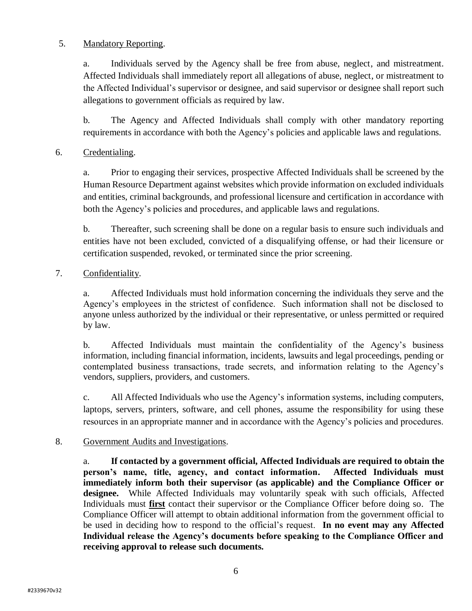## 5. Mandatory Reporting.

a. Individuals served by the Agency shall be free from abuse, neglect, and mistreatment. Affected Individuals shall immediately report all allegations of abuse, neglect, or mistreatment to the Affected Individual's supervisor or designee, and said supervisor or designee shall report such allegations to government officials as required by law.

b. The Agency and Affected Individuals shall comply with other mandatory reporting requirements in accordance with both the Agency's policies and applicable laws and regulations.

# 6. Credentialing.

a. Prior to engaging their services, prospective Affected Individuals shall be screened by the Human Resource Department against websites which provide information on excluded individuals and entities, criminal backgrounds, and professional licensure and certification in accordance with both the Agency's policies and procedures, and applicable laws and regulations.

b. Thereafter, such screening shall be done on a regular basis to ensure such individuals and entities have not been excluded, convicted of a disqualifying offense, or had their licensure or certification suspended, revoked, or terminated since the prior screening.

# 7. Confidentiality.

a. Affected Individuals must hold information concerning the individuals they serve and the Agency's employees in the strictest of confidence. Such information shall not be disclosed to anyone unless authorized by the individual or their representative, or unless permitted or required by law.

b. Affected Individuals must maintain the confidentiality of the Agency's business information, including financial information, incidents, lawsuits and legal proceedings, pending or contemplated business transactions, trade secrets, and information relating to the Agency's vendors, suppliers, providers, and customers.

c. All Affected Individuals who use the Agency's information systems, including computers, laptops, servers, printers, software, and cell phones, assume the responsibility for using these resources in an appropriate manner and in accordance with the Agency's policies and procedures.

## 8. Government Audits and Investigations.

a. **If contacted by a government official, Affected Individuals are required to obtain the person's name, title, agency, and contact information. Affected Individuals must immediately inform both their supervisor (as applicable) and the Compliance Officer or designee.** While Affected Individuals may voluntarily speak with such officials, Affected Individuals must **first** contact their supervisor or the Compliance Officer before doing so. The Compliance Officer will attempt to obtain additional information from the government official to be used in deciding how to respond to the official's request. **In no event may any Affected Individual release the Agency's documents before speaking to the Compliance Officer and receiving approval to release such documents.**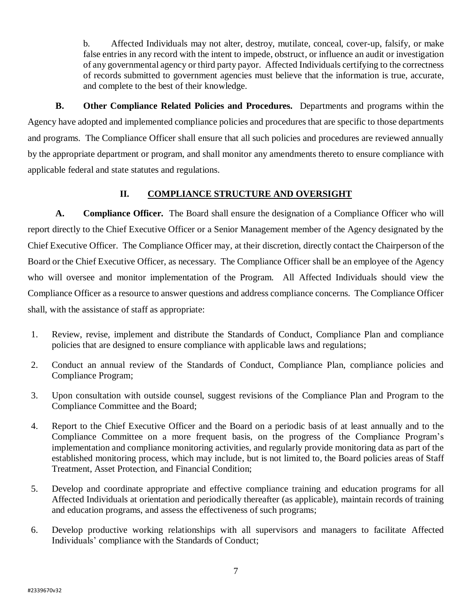b. Affected Individuals may not alter, destroy, mutilate, conceal, cover-up, falsify, or make false entries in any record with the intent to impede, obstruct, or influence an audit or investigation of any governmental agency or third party payor. Affected Individuals certifying to the correctness of records submitted to government agencies must believe that the information is true, accurate, and complete to the best of their knowledge.

**B. Other Compliance Related Policies and Procedures.** Departments and programs within the Agency have adopted and implemented compliance policies and procedures that are specific to those departments and programs. The Compliance Officer shall ensure that all such policies and procedures are reviewed annually by the appropriate department or program, and shall monitor any amendments thereto to ensure compliance with applicable federal and state statutes and regulations.

# **II. COMPLIANCE STRUCTURE AND OVERSIGHT**

**A. Compliance Officer.** The Board shall ensure the designation of a Compliance Officer who will report directly to the Chief Executive Officer or a Senior Management member of the Agency designated by the Chief Executive Officer. The Compliance Officer may, at their discretion, directly contact the Chairperson of the Board or the Chief Executive Officer, as necessary. The Compliance Officer shall be an employee of the Agency who will oversee and monitor implementation of the Program. All Affected Individuals should view the Compliance Officer as a resource to answer questions and address compliance concerns. The Compliance Officer shall, with the assistance of staff as appropriate:

- 1. Review, revise, implement and distribute the Standards of Conduct, Compliance Plan and compliance policies that are designed to ensure compliance with applicable laws and regulations;
- 2. Conduct an annual review of the Standards of Conduct, Compliance Plan, compliance policies and Compliance Program;
- 3. Upon consultation with outside counsel, suggest revisions of the Compliance Plan and Program to the Compliance Committee and the Board;
- 4. Report to the Chief Executive Officer and the Board on a periodic basis of at least annually and to the Compliance Committee on a more frequent basis, on the progress of the Compliance Program's implementation and compliance monitoring activities, and regularly provide monitoring data as part of the established monitoring process, which may include, but is not limited to, the Board policies areas of Staff Treatment, Asset Protection, and Financial Condition;
- 5. Develop and coordinate appropriate and effective compliance training and education programs for all Affected Individuals at orientation and periodically thereafter (as applicable), maintain records of training and education programs, and assess the effectiveness of such programs;
- 6. Develop productive working relationships with all supervisors and managers to facilitate Affected Individuals' compliance with the Standards of Conduct;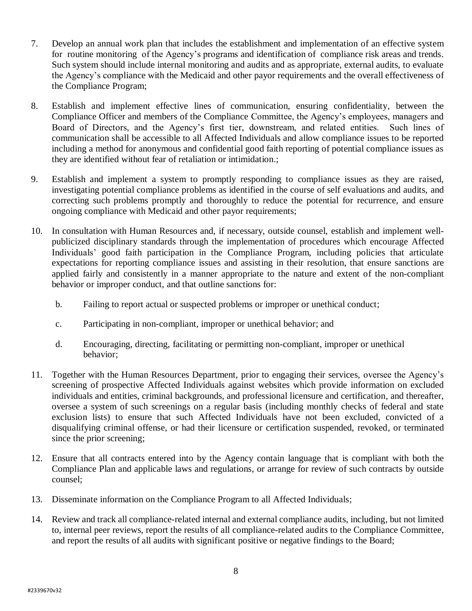- 7. Develop an annual work plan that includes the establishment and implementation of an effective system for routine monitoring of the Agency's programs and identification of compliance risk areas and trends. Such system should include internal monitoring and audits and as appropriate, external audits, to evaluate the Agency's compliance with the Medicaid and other payor requirements and the overall effectiveness of the Compliance Program;
- 8. Establish and implement effective lines of communication, ensuring confidentiality, between the Compliance Officer and members of the Compliance Committee, the Agency's employees, managers and Board of Directors, and the Agency's first tier, downstream, and related entities. Such lines of communication shall be accessible to all Affected Individuals and allow compliance issues to be reported including a method for anonymous and confidential good faith reporting of potential compliance issues as they are identified without fear of retaliation or intimidation.;
- 9. Establish and implement a system to promptly responding to compliance issues as they are raised, investigating potential compliance problems as identified in the course of self evaluations and audits, and correcting such problems promptly and thoroughly to reduce the potential for recurrence, and ensure ongoing compliance with Medicaid and other payor requirements;
- 10. In consultation with Human Resources and, if necessary, outside counsel, establish and implement wellpublicized disciplinary standards through the implementation of procedures which encourage Affected Individuals' good faith participation in the Compliance Program, including policies that articulate expectations for reporting compliance issues and assisting in their resolution, that ensure sanctions are applied fairly and consistently in a manner appropriate to the nature and extent of the non-compliant behavior or improper conduct, and that outline sanctions for:
	- b. Failing to report actual or suspected problems or improper or unethical conduct;
	- c. Participating in non-compliant, improper or unethical behavior; and
	- d. Encouraging, directing, facilitating or permitting non-compliant, improper or unethical behavior;
- 11. Together with the Human Resources Department, prior to engaging their services, oversee the Agency's screening of prospective Affected Individuals against websites which provide information on excluded individuals and entities, criminal backgrounds, and professional licensure and certification, and thereafter, oversee a system of such screenings on a regular basis (including monthly checks of federal and state exclusion lists) to ensure that such Affected Individuals have not been excluded, convicted of a disqualifying criminal offense, or had their licensure or certification suspended, revoked, or terminated since the prior screening;
- 12. Ensure that all contracts entered into by the Agency contain language that is compliant with both the Compliance Plan and applicable laws and regulations, or arrange for review of such contracts by outside counsel;
- 13. Disseminate information on the Compliance Program to all Affected Individuals;
- 14. Review and track all compliance-related internal and external compliance audits, including, but not limited to, internal peer reviews, report the results of all compliance-related audits to the Compliance Committee, and report the results of all audits with significant positive or negative findings to the Board;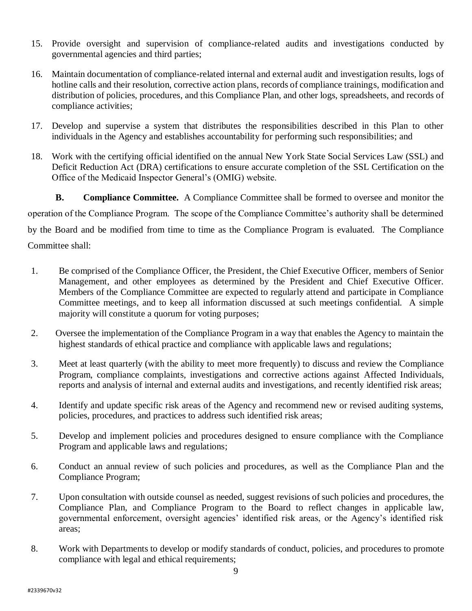- 15. Provide oversight and supervision of compliance-related audits and investigations conducted by governmental agencies and third parties;
- 16. Maintain documentation of compliance-related internal and external audit and investigation results, logs of hotline calls and their resolution, corrective action plans, records of compliance trainings, modification and distribution of policies, procedures, and this Compliance Plan, and other logs, spreadsheets, and records of compliance activities;
- 17. Develop and supervise a system that distributes the responsibilities described in this Plan to other individuals in the Agency and establishes accountability for performing such responsibilities; and
- 18. Work with the certifying official identified on the annual New York State Social Services Law (SSL) and Deficit Reduction Act (DRA) certifications to ensure accurate completion of the SSL Certification on the Office of the Medicaid Inspector General's (OMIG) website.

**B. Compliance Committee.** A Compliance Committee shall be formed to oversee and monitor the operation of the Compliance Program. The scope of the Compliance Committee's authority shall be determined by the Board and be modified from time to time as the Compliance Program is evaluated. The Compliance Committee shall:

- 1. Be comprised of the Compliance Officer, the President, the Chief Executive Officer, members of Senior Management, and other employees as determined by the President and Chief Executive Officer. Members of the Compliance Committee are expected to regularly attend and participate in Compliance Committee meetings, and to keep all information discussed at such meetings confidential. A simple majority will constitute a quorum for voting purposes;
- 2. Oversee the implementation of the Compliance Program in a way that enables the Agency to maintain the highest standards of ethical practice and compliance with applicable laws and regulations;
- 3. Meet at least quarterly (with the ability to meet more frequently) to discuss and review the Compliance Program, compliance complaints, investigations and corrective actions against Affected Individuals, reports and analysis of internal and external audits and investigations, and recently identified risk areas;
- 4. Identify and update specific risk areas of the Agency and recommend new or revised auditing systems, policies, procedures, and practices to address such identified risk areas;
- 5. Develop and implement policies and procedures designed to ensure compliance with the Compliance Program and applicable laws and regulations;
- 6. Conduct an annual review of such policies and procedures, as well as the Compliance Plan and the Compliance Program;
- 7. Upon consultation with outside counsel as needed, suggest revisions of such policies and procedures, the Compliance Plan, and Compliance Program to the Board to reflect changes in applicable law, governmental enforcement, oversight agencies' identified risk areas, or the Agency's identified risk areas;
- 8. Work with Departments to develop or modify standards of conduct, policies, and procedures to promote compliance with legal and ethical requirements;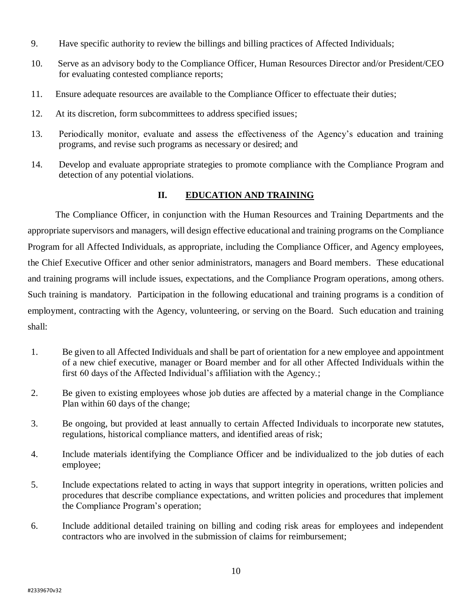- 9. Have specific authority to review the billings and billing practices of Affected Individuals;
- 10. Serve as an advisory body to the Compliance Officer, Human Resources Director and/or President/CEO for evaluating contested compliance reports;
- 11. Ensure adequate resources are available to the Compliance Officer to effectuate their duties;
- 12. At its discretion, form subcommittees to address specified issues;
- 13. Periodically monitor, evaluate and assess the effectiveness of the Agency's education and training programs, and revise such programs as necessary or desired; and
- 14. Develop and evaluate appropriate strategies to promote compliance with the Compliance Program and detection of any potential violations.

# **II. EDUCATION AND TRAINING**

The Compliance Officer, in conjunction with the Human Resources and Training Departments and the appropriate supervisors and managers, will design effective educational and training programs on the Compliance Program for all Affected Individuals, as appropriate, including the Compliance Officer, and Agency employees, the Chief Executive Officer and other senior administrators, managers and Board members. These educational and training programs will include issues, expectations, and the Compliance Program operations, among others. Such training is mandatory. Participation in the following educational and training programs is a condition of employment, contracting with the Agency, volunteering, or serving on the Board. Such education and training shall:

- 1. Be given to all Affected Individuals and shall be part of orientation for a new employee and appointment of a new chief executive, manager or Board member and for all other Affected Individuals within the first 60 days of the Affected Individual's affiliation with the Agency.;
- 2. Be given to existing employees whose job duties are affected by a material change in the Compliance Plan within 60 days of the change;
- 3. Be ongoing, but provided at least annually to certain Affected Individuals to incorporate new statutes, regulations, historical compliance matters, and identified areas of risk;
- 4. Include materials identifying the Compliance Officer and be individualized to the job duties of each employee;
- 5. Include expectations related to acting in ways that support integrity in operations, written policies and procedures that describe compliance expectations, and written policies and procedures that implement the Compliance Program's operation;
- 6. Include additional detailed training on billing and coding risk areas for employees and independent contractors who are involved in the submission of claims for reimbursement;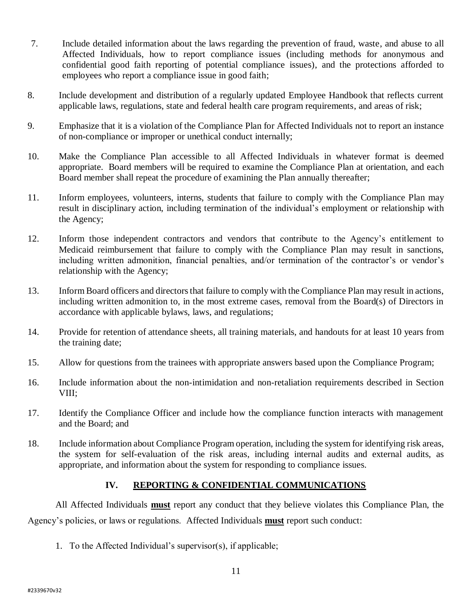- 7. Include detailed information about the laws regarding the prevention of fraud, waste, and abuse to all Affected Individuals, how to report compliance issues (including methods for anonymous and confidential good faith reporting of potential compliance issues), and the protections afforded to employees who report a compliance issue in good faith;
- 8. Include development and distribution of a regularly updated Employee Handbook that reflects current applicable laws, regulations, state and federal health care program requirements, and areas of risk;
- 9. Emphasize that it is a violation of the Compliance Plan for Affected Individuals not to report an instance of non-compliance or improper or unethical conduct internally;
- 10. Make the Compliance Plan accessible to all Affected Individuals in whatever format is deemed appropriate. Board members will be required to examine the Compliance Plan at orientation, and each Board member shall repeat the procedure of examining the Plan annually thereafter;
- 11. Inform employees, volunteers, interns, students that failure to comply with the Compliance Plan may result in disciplinary action, including termination of the individual's employment or relationship with the Agency;
- 12. Inform those independent contractors and vendors that contribute to the Agency's entitlement to Medicaid reimbursement that failure to comply with the Compliance Plan may result in sanctions, including written admonition, financial penalties, and/or termination of the contractor's or vendor's relationship with the Agency;
- 13. Inform Board officers and directors that failure to comply with the Compliance Plan may result in actions, including written admonition to, in the most extreme cases, removal from the Board(s) of Directors in accordance with applicable bylaws, laws, and regulations;
- 14. Provide for retention of attendance sheets, all training materials, and handouts for at least 10 years from the training date;
- 15. Allow for questions from the trainees with appropriate answers based upon the Compliance Program;
- 16. Include information about the non-intimidation and non-retaliation requirements described in Section VIII;
- 17. Identify the Compliance Officer and include how the compliance function interacts with management and the Board; and
- 18. Include information about Compliance Program operation, including the system for identifying risk areas, the system for self-evaluation of the risk areas, including internal audits and external audits, as appropriate, and information about the system for responding to compliance issues.

## **IV. REPORTING & CONFIDENTIAL COMMUNICATIONS**

All Affected Individuals **must** report any conduct that they believe violates this Compliance Plan, the Agency's policies, or laws or regulations. Affected Individuals **must** report such conduct:

1. To the Affected Individual's supervisor(s), if applicable;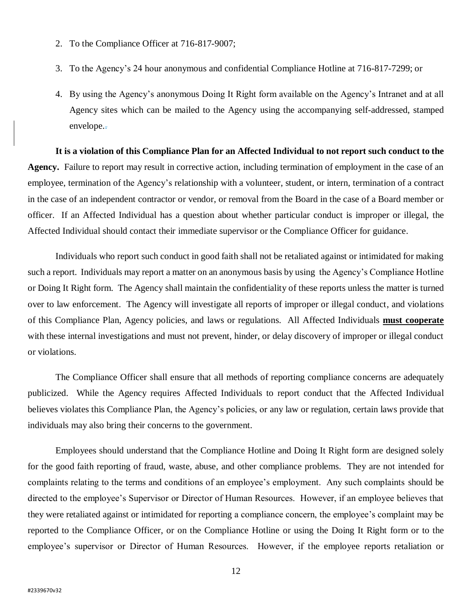- 2. To the Compliance Officer at 716-817-9007;
- 3. To the Agency's 24 hour anonymous and confidential Compliance Hotline at 716-817-7299; or
- 4. By using the Agency's anonymous Doing It Right form available on the Agency's Intranet and at all Agency sites which can be mailed to the Agency using the accompanying self-addressed, stamped envelope..

**It is a violation of this Compliance Plan for an Affected Individual to not report such conduct to the Agency.** Failure to report may result in corrective action, including termination of employment in the case of an employee, termination of the Agency's relationship with a volunteer, student, or intern, termination of a contract in the case of an independent contractor or vendor, or removal from the Board in the case of a Board member or officer. If an Affected Individual has a question about whether particular conduct is improper or illegal, the Affected Individual should contact their immediate supervisor or the Compliance Officer for guidance.

Individuals who report such conduct in good faith shall not be retaliated against or intimidated for making such a report. Individuals may report a matter on an anonymous basis by using the Agency's Compliance Hotline or Doing It Right form. The Agency shall maintain the confidentiality of these reports unless the matter is turned over to law enforcement. The Agency will investigate all reports of improper or illegal conduct, and violations of this Compliance Plan, Agency policies, and laws or regulations. All Affected Individuals **must cooperate** with these internal investigations and must not prevent, hinder, or delay discovery of improper or illegal conduct or violations.

The Compliance Officer shall ensure that all methods of reporting compliance concerns are adequately publicized. While the Agency requires Affected Individuals to report conduct that the Affected Individual believes violates this Compliance Plan, the Agency's policies, or any law or regulation, certain laws provide that individuals may also bring their concerns to the government.

Employees should understand that the Compliance Hotline and Doing It Right form are designed solely for the good faith reporting of fraud, waste, abuse, and other compliance problems. They are not intended for complaints relating to the terms and conditions of an employee's employment. Any such complaints should be directed to the employee's Supervisor or Director of Human Resources. However, if an employee believes that they were retaliated against or intimidated for reporting a compliance concern, the employee's complaint may be reported to the Compliance Officer, or on the Compliance Hotline or using the Doing It Right form or to the employee's supervisor or Director of Human Resources. However, if the employee reports retaliation or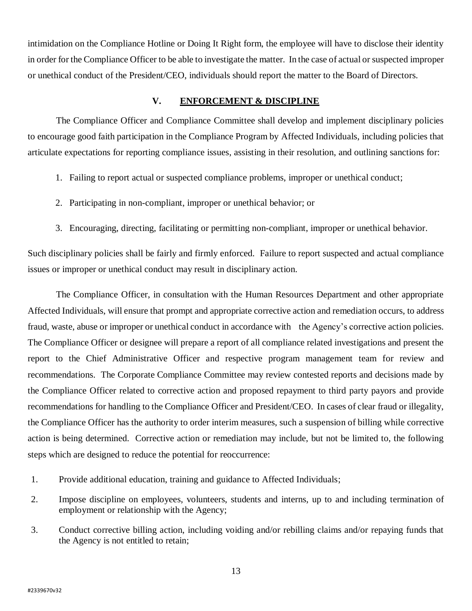intimidation on the Compliance Hotline or Doing It Right form, the employee will have to disclose their identity in order for the Compliance Officer to be able to investigate the matter. In the case of actual or suspected improper or unethical conduct of the President/CEO, individuals should report the matter to the Board of Directors.

#### **V. ENFORCEMENT & DISCIPLINE**

The Compliance Officer and Compliance Committee shall develop and implement disciplinary policies to encourage good faith participation in the Compliance Program by Affected Individuals, including policies that articulate expectations for reporting compliance issues, assisting in their resolution, and outlining sanctions for:

- 1. Failing to report actual or suspected compliance problems, improper or unethical conduct;
- 2. Participating in non-compliant, improper or unethical behavior; or
- 3. Encouraging, directing, facilitating or permitting non-compliant, improper or unethical behavior.

Such disciplinary policies shall be fairly and firmly enforced. Failure to report suspected and actual compliance issues or improper or unethical conduct may result in disciplinary action.

The Compliance Officer, in consultation with the Human Resources Department and other appropriate Affected Individuals, will ensure that prompt and appropriate corrective action and remediation occurs, to address fraud, waste, abuse or improper or unethical conduct in accordance with the Agency's corrective action policies. The Compliance Officer or designee will prepare a report of all compliance related investigations and present the report to the Chief Administrative Officer and respective program management team for review and recommendations. The Corporate Compliance Committee may review contested reports and decisions made by the Compliance Officer related to corrective action and proposed repayment to third party payors and provide recommendations for handling to the Compliance Officer and President/CEO. In cases of clear fraud or illegality, the Compliance Officer has the authority to order interim measures, such a suspension of billing while corrective action is being determined. Corrective action or remediation may include, but not be limited to, the following steps which are designed to reduce the potential for reoccurrence:

- 1. Provide additional education, training and guidance to Affected Individuals;
- 2. Impose discipline on employees, volunteers, students and interns, up to and including termination of employment or relationship with the Agency;
- 3. Conduct corrective billing action, including voiding and/or rebilling claims and/or repaying funds that the Agency is not entitled to retain;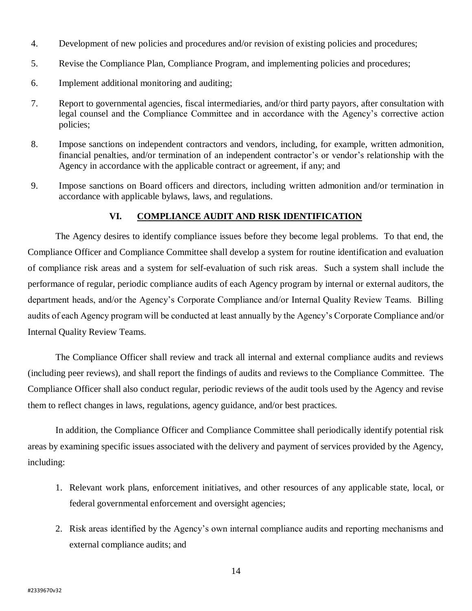- 4. Development of new policies and procedures and/or revision of existing policies and procedures;
- 5. Revise the Compliance Plan, Compliance Program, and implementing policies and procedures;
- 6. Implement additional monitoring and auditing;
- 7. Report to governmental agencies, fiscal intermediaries, and/or third party payors, after consultation with legal counsel and the Compliance Committee and in accordance with the Agency's corrective action policies;
- 8. Impose sanctions on independent contractors and vendors, including, for example, written admonition, financial penalties, and/or termination of an independent contractor's or vendor's relationship with the Agency in accordance with the applicable contract or agreement, if any; and
- 9. Impose sanctions on Board officers and directors, including written admonition and/or termination in accordance with applicable bylaws, laws, and regulations.

## **VI. COMPLIANCE AUDIT AND RISK IDENTIFICATION**

The Agency desires to identify compliance issues before they become legal problems. To that end, the Compliance Officer and Compliance Committee shall develop a system for routine identification and evaluation of compliance risk areas and a system for self-evaluation of such risk areas. Such a system shall include the performance of regular, periodic compliance audits of each Agency program by internal or external auditors, the department heads, and/or the Agency's Corporate Compliance and/or Internal Quality Review Teams. Billing audits of each Agency program will be conducted at least annually by the Agency's Corporate Compliance and/or Internal Quality Review Teams.

The Compliance Officer shall review and track all internal and external compliance audits and reviews (including peer reviews), and shall report the findings of audits and reviews to the Compliance Committee. The Compliance Officer shall also conduct regular, periodic reviews of the audit tools used by the Agency and revise them to reflect changes in laws, regulations, agency guidance, and/or best practices.

In addition, the Compliance Officer and Compliance Committee shall periodically identify potential risk areas by examining specific issues associated with the delivery and payment of services provided by the Agency, including:

- 1. Relevant work plans, enforcement initiatives, and other resources of any applicable state, local, or federal governmental enforcement and oversight agencies;
- 2. Risk areas identified by the Agency's own internal compliance audits and reporting mechanisms and external compliance audits; and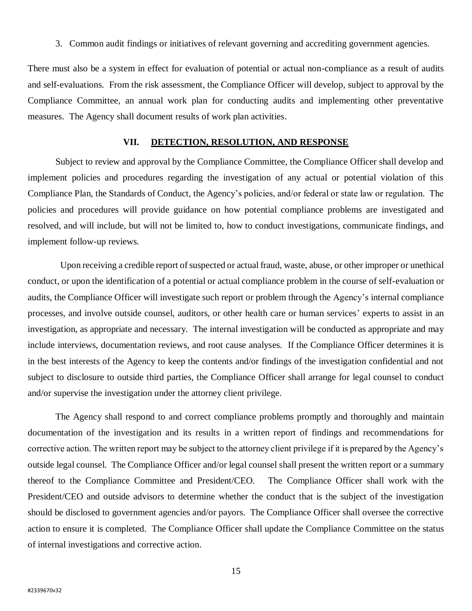3. Common audit findings or initiatives of relevant governing and accrediting government agencies.

There must also be a system in effect for evaluation of potential or actual non-compliance as a result of audits and self-evaluations. From the risk assessment, the Compliance Officer will develop, subject to approval by the Compliance Committee, an annual work plan for conducting audits and implementing other preventative measures. The Agency shall document results of work plan activities.

#### **VII. DETECTION, RESOLUTION, AND RESPONSE**

Subject to review and approval by the Compliance Committee, the Compliance Officer shall develop and implement policies and procedures regarding the investigation of any actual or potential violation of this Compliance Plan, the Standards of Conduct, the Agency's policies, and/or federal or state law or regulation. The policies and procedures will provide guidance on how potential compliance problems are investigated and resolved, and will include, but will not be limited to, how to conduct investigations, communicate findings, and implement follow-up reviews.

 Upon receiving a credible report of suspected or actual fraud, waste, abuse, or other improper or unethical conduct, or upon the identification of a potential or actual compliance problem in the course of self-evaluation or audits, the Compliance Officer will investigate such report or problem through the Agency's internal compliance processes, and involve outside counsel, auditors, or other health care or human services' experts to assist in an investigation, as appropriate and necessary. The internal investigation will be conducted as appropriate and may include interviews, documentation reviews, and root cause analyses. If the Compliance Officer determines it is in the best interests of the Agency to keep the contents and/or findings of the investigation confidential and not subject to disclosure to outside third parties, the Compliance Officer shall arrange for legal counsel to conduct and/or supervise the investigation under the attorney client privilege.

The Agency shall respond to and correct compliance problems promptly and thoroughly and maintain documentation of the investigation and its results in a written report of findings and recommendations for corrective action. The written report may be subject to the attorney client privilege if it is prepared by the Agency's outside legal counsel. The Compliance Officer and/or legal counsel shall present the written report or a summary thereof to the Compliance Committee and President/CEO. The Compliance Officer shall work with the President/CEO and outside advisors to determine whether the conduct that is the subject of the investigation should be disclosed to government agencies and/or payors. The Compliance Officer shall oversee the corrective action to ensure it is completed. The Compliance Officer shall update the Compliance Committee on the status of internal investigations and corrective action.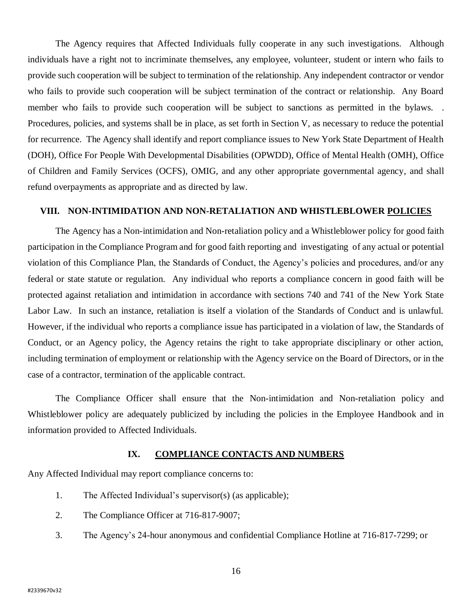The Agency requires that Affected Individuals fully cooperate in any such investigations. Although individuals have a right not to incriminate themselves, any employee, volunteer, student or intern who fails to provide such cooperation will be subject to termination of the relationship. Any independent contractor or vendor who fails to provide such cooperation will be subject termination of the contract or relationship. Any Board member who fails to provide such cooperation will be subject to sanctions as permitted in the bylaws. . Procedures, policies, and systems shall be in place, as set forth in Section V, as necessary to reduce the potential for recurrence. The Agency shall identify and report compliance issues to New York State Department of Health (DOH), Office For People With Developmental Disabilities (OPWDD), Office of Mental Health (OMH), Office of Children and Family Services (OCFS), OMIG, and any other appropriate governmental agency, and shall refund overpayments as appropriate and as directed by law.

#### **VIII. NON-INTIMIDATION AND NON-RETALIATION AND WHISTLEBLOWER POLICIES**

The Agency has a Non-intimidation and Non-retaliation policy and a Whistleblower policy for good faith participation in the Compliance Program and for good faith reporting and investigating of any actual or potential violation of this Compliance Plan, the Standards of Conduct, the Agency's policies and procedures, and/or any federal or state statute or regulation. Any individual who reports a compliance concern in good faith will be protected against retaliation and intimidation in accordance with sections 740 and 741 of the New York State Labor Law. In such an instance, retaliation is itself a violation of the Standards of Conduct and is unlawful. However, if the individual who reports a compliance issue has participated in a violation of law, the Standards of Conduct, or an Agency policy, the Agency retains the right to take appropriate disciplinary or other action, including termination of employment or relationship with the Agency service on the Board of Directors, or in the case of a contractor, termination of the applicable contract.

The Compliance Officer shall ensure that the Non-intimidation and Non-retaliation policy and Whistleblower policy are adequately publicized by including the policies in the Employee Handbook and in information provided to Affected Individuals.

## **IX. COMPLIANCE CONTACTS AND NUMBERS**

Any Affected Individual may report compliance concerns to:

- 1. The Affected Individual's supervisor(s) (as applicable);
- 2. The Compliance Officer at 716-817-9007;
- 3. The Agency's 24-hour anonymous and confidential Compliance Hotline at 716-817-7299; or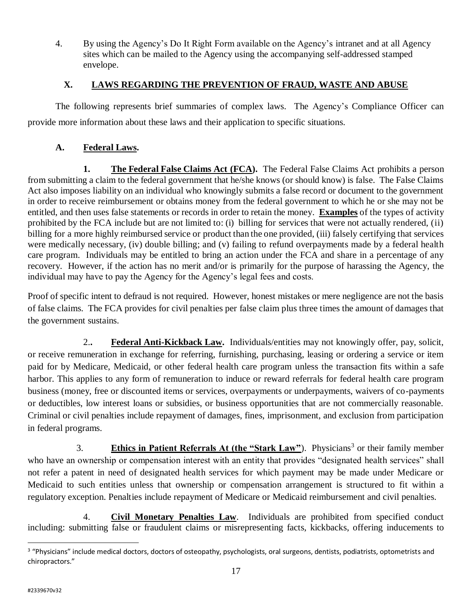4. By using the Agency's Do It Right Form available on the Agency's intranet and at all Agency sites which can be mailed to the Agency using the accompanying self-addressed stamped envelope.

# **X. LAWS REGARDING THE PREVENTION OF FRAUD, WASTE AND ABUSE**

The following represents brief summaries of complex laws. The Agency's Compliance Officer can provide more information about these laws and their application to specific situations.

# **A. Federal Laws.**

**1. The Federal False Claims Act (FCA).** The Federal False Claims Act prohibits a person from submitting a claim to the federal government that he/she knows (or should know) is false. The False Claims Act also imposes liability on an individual who knowingly submits a false record or document to the government in order to receive reimbursement or obtains money from the federal government to which he or she may not be entitled, and then uses false statements or records in order to retain the money. **Examples** of the types of activity prohibited by the FCA include but are not limited to: (i) billing for services that were not actually rendered, (ii) billing for a more highly reimbursed service or product than the one provided, (iii) falsely certifying that services were medically necessary, (iv) double billing; and (v) failing to refund overpayments made by a federal health care program. Individuals may be entitled to bring an action under the FCA and share in a percentage of any recovery. However, if the action has no merit and/or is primarily for the purpose of harassing the Agency, the individual may have to pay the Agency for the Agency's legal fees and costs.

Proof of specific intent to defraud is not required. However, honest mistakes or mere negligence are not the basis of false claims. The FCA provides for civil penalties per false claim plus three times the amount of damages that the government sustains.

2.**. Federal Anti-Kickback Law.** Individuals/entities may not knowingly offer, pay, solicit, or receive remuneration in exchange for referring, furnishing, purchasing, leasing or ordering a service or item paid for by Medicare, Medicaid, or other federal health care program unless the transaction fits within a safe harbor. This applies to any form of remuneration to induce or reward referrals for federal health care program business (money, free or discounted items or services, overpayments or underpayments, waivers of co-payments or deductibles, low interest loans or subsidies, or business opportunities that are not commercially reasonable. Criminal or civil penalties include repayment of damages, fines, imprisonment, and exclusion from participation in federal programs.

3. **Ethics in Patient Referrals At (the "Stark Law")**. Physicians<sup>3</sup> or their family member who have an ownership or compensation interest with an entity that provides "designated health services" shall not refer a patent in need of designated health services for which payment may be made under Medicare or Medicaid to such entities unless that ownership or compensation arrangement is structured to fit within a regulatory exception. Penalties include repayment of Medicare or Medicaid reimbursement and civil penalties.

4. **Civil Monetary Penalties Law**. Individuals are prohibited from specified conduct including: submitting false or fraudulent claims or misrepresenting facts, kickbacks, offering inducements to

 $\overline{a}$ 

<sup>&</sup>lt;sup>3</sup> "Physicians" include medical doctors, doctors of osteopathy, psychologists, oral surgeons, dentists, podiatrists, optometrists and chiropractors."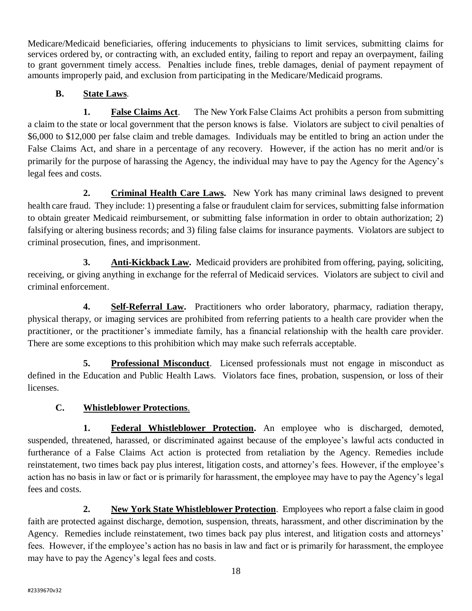Medicare/Medicaid beneficiaries, offering inducements to physicians to limit services, submitting claims for services ordered by, or contracting with, an excluded entity, failing to report and repay an overpayment, failing to grant government timely access. Penalties include fines, treble damages, denial of payment repayment of amounts improperly paid, and exclusion from participating in the Medicare/Medicaid programs.

# **B. State Laws**.

**1. False Claims Act**. The New York False Claims Act prohibits a person from submitting a claim to the state or local government that the person knows is false. Violators are subject to civil penalties of \$6,000 to \$12,000 per false claim and treble damages. Individuals may be entitled to bring an action under the False Claims Act, and share in a percentage of any recovery. However, if the action has no merit and/or is primarily for the purpose of harassing the Agency, the individual may have to pay the Agency for the Agency's legal fees and costs.

**2. Criminal Health Care Laws.** New York has many criminal laws designed to prevent health care fraud. They include: 1) presenting a false or fraudulent claim for services, submitting false information to obtain greater Medicaid reimbursement, or submitting false information in order to obtain authorization; 2) falsifying or altering business records; and 3) filing false claims for insurance payments. Violators are subject to criminal prosecution, fines, and imprisonment.

**3. Anti-Kickback Law.** Medicaid providers are prohibited from offering, paying, soliciting, receiving, or giving anything in exchange for the referral of Medicaid services. Violators are subject to civil and criminal enforcement.

**4. Self-Referral Law.** Practitioners who order laboratory, pharmacy, radiation therapy, physical therapy, or imaging services are prohibited from referring patients to a health care provider when the practitioner, or the practitioner's immediate family, has a financial relationship with the health care provider. There are some exceptions to this prohibition which may make such referrals acceptable.

**5. Professional Misconduct**. Licensed professionals must not engage in misconduct as defined in the Education and Public Health Laws. Violators face fines, probation, suspension, or loss of their licenses.

# **C. Whistleblower Protections**.

**1. Federal Whistleblower Protection.** An employee who is discharged, demoted, suspended, threatened, harassed, or discriminated against because of the employee's lawful acts conducted in furtherance of a False Claims Act action is protected from retaliation by the Agency. Remedies include reinstatement, two times back pay plus interest, litigation costs, and attorney's fees. However, if the employee's action has no basis in law or fact or is primarily for harassment, the employee may have to pay the Agency's legal fees and costs.

**2. New York State Whistleblower Protection**. Employees who report a false claim in good faith are protected against discharge, demotion, suspension, threats, harassment, and other discrimination by the Agency. Remedies include reinstatement, two times back pay plus interest, and litigation costs and attorneys' fees. However, if the employee's action has no basis in law and fact or is primarily for harassment, the employee may have to pay the Agency's legal fees and costs.